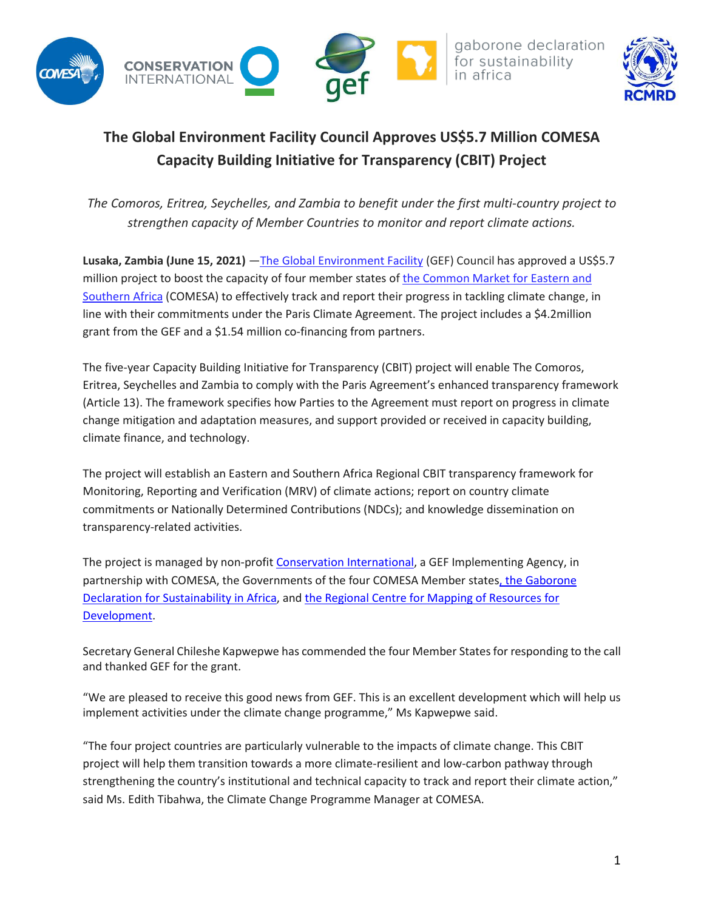

## **The Global Environment Facility Council Approves US\$5.7 Million COMESA Capacity Building Initiative for Transparency (CBIT) Project**

*The Comoros, Eritrea, Seychelles, and Zambia to benefit under the first multi-country project to strengthen capacity of Member Countries to monitor and report climate actions.* 

**Lusaka, Zambia (June 15, 2021)** —[The Global Environment Facility](https://www.thegef.org/) (GEF) Council has approved a US\$5.7 million project to boost the capacity of four member states of the Common Market for Eastern and [Southern Africa](https://www.comesa.int/) (COMESA) to effectively track and report their progress in tackling climate change, in line with their commitments under the Paris Climate Agreement. The project includes a \$4.2million grant from the GEF and a \$1.54 million co-financing from partners.

The five-year Capacity Building Initiative for Transparency (CBIT) project will enable The Comoros, Eritrea, Seychelles and Zambia to comply with the Paris Agreement's enhanced transparency framework (Article 13). The framework specifies how Parties to the Agreement must report on progress in climate change mitigation and adaptation measures, and support provided or received in capacity building, climate finance, and technology.

The project will establish an Eastern and Southern Africa Regional CBIT transparency framework for Monitoring, Reporting and Verification (MRV) of climate actions; report on country climate commitments or Nationally Determined Contributions (NDCs); and knowledge dissemination on transparency-related activities.

The project is managed by non-profit [Conservation International,](https://www.conservation.org/) a GEF Implementing Agency, in partnership with COMESA, the Governments of the four COMESA Member states, the Gaborone [Declaration for Sustainability in Africa,](http://www.gaboronedeclaration.com/) and [the Regional Centre for Mapping of Resources for](https://www.rcmrd.org/)  [Development.](https://www.rcmrd.org/)

Secretary General Chileshe Kapwepwe has commended the four Member States for responding to the call and thanked GEF for the grant.

"We are pleased to receive this good news from GEF. This is an excellent development which will help us implement activities under the climate change programme," Ms Kapwepwe said.

"The four project countries are particularly vulnerable to the impacts of climate change. This CBIT project will help them transition towards a more climate-resilient and low-carbon pathway through strengthening the country's institutional and technical capacity to track and report their climate action," said Ms. Edith Tibahwa, the Climate Change Programme Manager at COMESA.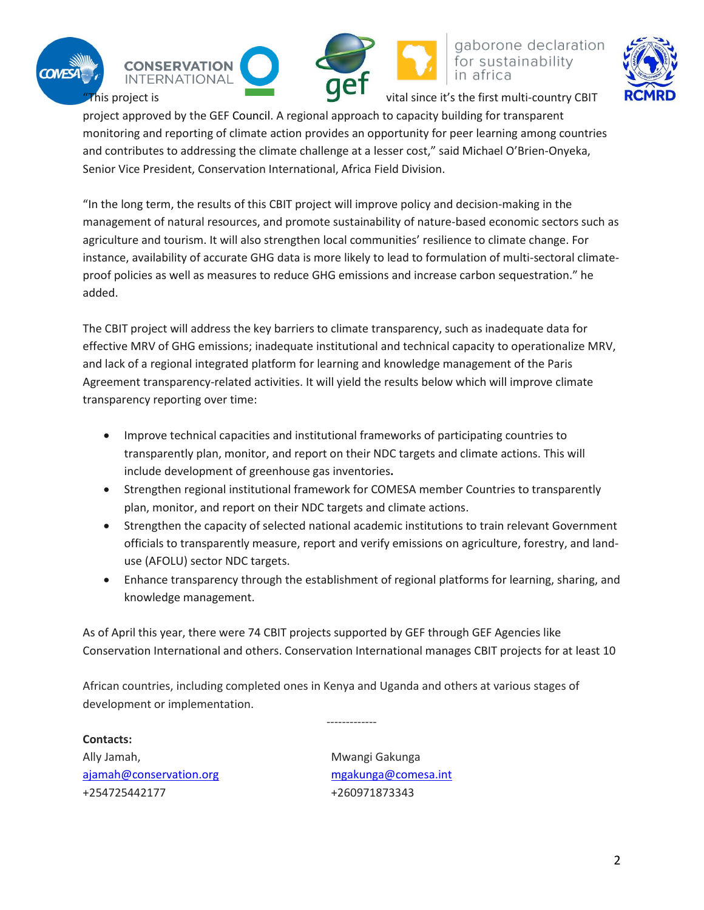









This project is  $\overline{\mathbf{S}}$  and  $\overline{\mathbf{S}}$  wital since it's the first multi-country CBIT

project approved by the GEF Council. A regional approach to capacity building for transparent monitoring and reporting of climate action provides an opportunity for peer learning among countries and contributes to addressing the climate challenge at a lesser cost," said Michael O'Brien-Onyeka, Senior Vice President, Conservation International, Africa Field Division.

"In the long term, the results of this CBIT project will improve policy and decision-making in the management of natural resources, and promote sustainability of nature-based economic sectors such as agriculture and tourism. It will also strengthen local communities' resilience to climate change. For instance, availability of accurate GHG data is more likely to lead to formulation of multi-sectoral climateproof policies as well as measures to reduce GHG emissions and increase carbon sequestration." he added.

The CBIT project will address the key barriers to climate transparency, such as inadequate data for effective MRV of GHG emissions; inadequate institutional and technical capacity to operationalize MRV, and lack of a regional integrated platform for learning and knowledge management of the Paris Agreement transparency-related activities. It will yield the results below which will improve climate transparency reporting over time:

- Improve technical capacities and institutional frameworks of participating countries to transparently plan, monitor, and report on their NDC targets and climate actions. This will include development of greenhouse gas inventories**.**
- Strengthen regional institutional framework for COMESA member Countries to transparently plan, monitor, and report on their NDC targets and climate actions.
- Strengthen the capacity of selected national academic institutions to train relevant Government officials to transparently measure, report and verify emissions on agriculture, forestry, and landuse (AFOLU) sector NDC targets.
- Enhance transparency through the establishment of regional platforms for learning, sharing, and knowledge management.

As of April this year, there were 74 CBIT projects supported by GEF through GEF Agencies like Conservation International and others. Conservation International manages CBIT projects for at least 10

-------------

African countries, including completed ones in Kenya and Uganda and others at various stages of development or implementation.

**Contacts:** Ally Jamah, Mwangi Gakunga [ajamah@conservation.org](mailto:ajamah@conservation.org) [mgakunga@comesa.int](mailto:mgakunga@comesa.int) +254725442177 +260971873343